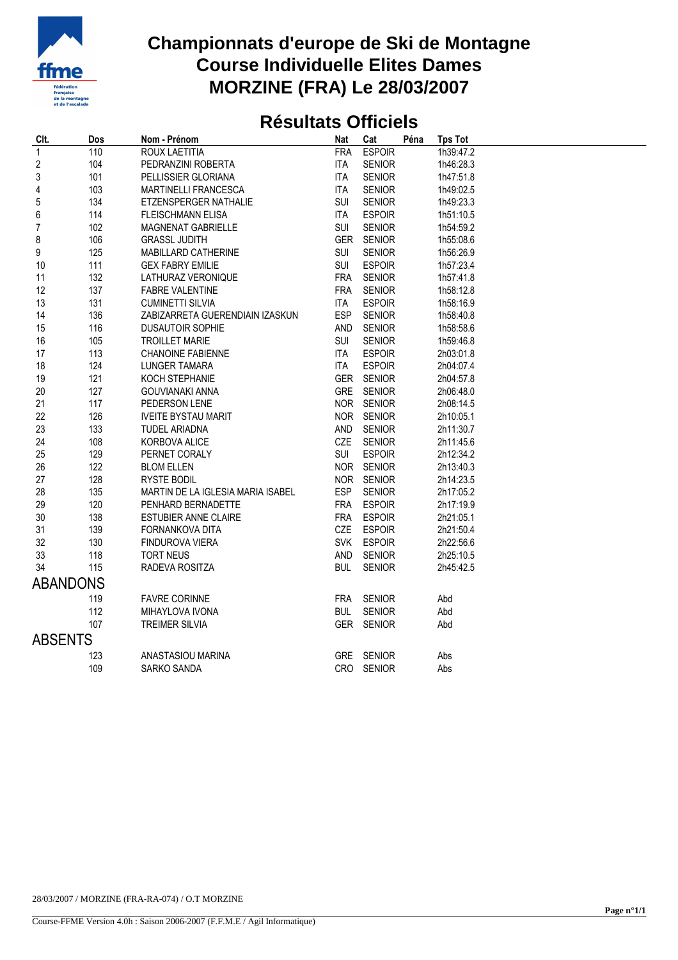

## **Championnats d'europe de Ski de Montagne Course Individuelle Elites Dames MORZINE (FRA) Le 28/03/2007**

## **Résultats Officiels**

| CIt.                    | Dos | Nom - Prénom                      | Nat        | Cat           | Péna | <b>Tps Tot</b> |  |  |  |
|-------------------------|-----|-----------------------------------|------------|---------------|------|----------------|--|--|--|
| $\mathbf{1}$            | 110 | ROUX LAETITIA                     | <b>FRA</b> | <b>ESPOIR</b> |      | 1h39:47.2      |  |  |  |
| $\overline{\mathbf{c}}$ | 104 | PEDRANZINI ROBERTA                | <b>ITA</b> | <b>SENIOR</b> |      | 1h46:28.3      |  |  |  |
| 3                       | 101 | PELLISSIER GLORIANA               | <b>ITA</b> | <b>SENIOR</b> |      | 1h47:51.8      |  |  |  |
| 4                       | 103 | MARTINELLI FRANCESCA              | ITA        | <b>SENIOR</b> |      | 1h49:02.5      |  |  |  |
| 5                       | 134 | ETZENSPERGER NATHALIE             | SUI        | <b>SENIOR</b> |      | 1h49:23.3      |  |  |  |
| 6                       | 114 | <b>FLEISCHMANN ELISA</b>          | <b>ITA</b> | <b>ESPOIR</b> |      | 1h51:10.5      |  |  |  |
| $\overline{7}$          | 102 | MAGNENAT GABRIELLE                | <b>SUI</b> | <b>SENIOR</b> |      | 1h54:59.2      |  |  |  |
| 8                       | 106 | <b>GRASSL JUDITH</b>              | <b>GER</b> | <b>SENIOR</b> |      | 1h55:08.6      |  |  |  |
| 9                       | 125 | MABILLARD CATHERINE               | SUI        | <b>SENIOR</b> |      | 1h56:26.9      |  |  |  |
| 10                      | 111 | <b>GEX FABRY EMILIE</b>           | SUI        | <b>ESPOIR</b> |      | 1h57:23.4      |  |  |  |
| 11                      | 132 | LATHURAZ VERONIQUE                | <b>FRA</b> | <b>SENIOR</b> |      | 1h57:41.8      |  |  |  |
| 12                      | 137 | <b>FABRE VALENTINE</b>            | <b>FRA</b> | <b>SENIOR</b> |      | 1h58:12.8      |  |  |  |
| 13                      | 131 | <b>CUMINETTI SILVIA</b>           | ITA        | <b>ESPOIR</b> |      | 1h58:16.9      |  |  |  |
| 14                      | 136 | ZABIZARRETA GUERENDIAIN IZASKUN   | <b>ESP</b> | <b>SENIOR</b> |      | 1h58:40.8      |  |  |  |
| 15                      | 116 | <b>DUSAUTOIR SOPHIE</b>           | AND        | <b>SENIOR</b> |      | 1h58:58.6      |  |  |  |
| 16                      | 105 | <b>TROILLET MARIE</b>             | SUI        | <b>SENIOR</b> |      | 1h59:46.8      |  |  |  |
| 17                      | 113 | <b>CHANOINE FABIENNE</b>          | ITA        | <b>ESPOIR</b> |      | 2h03:01.8      |  |  |  |
| 18                      | 124 | LUNGER TAMARA                     | ITA        | <b>ESPOIR</b> |      | 2h04:07.4      |  |  |  |
| 19                      | 121 | KOCH STEPHANIE                    | <b>GER</b> | <b>SENIOR</b> |      | 2h04:57.8      |  |  |  |
| 20                      | 127 | <b>GOUVIANAKI ANNA</b>            | <b>GRE</b> | <b>SENIOR</b> |      | 2h06:48.0      |  |  |  |
| 21                      | 117 | PEDERSON LENE                     |            | NOR SENIOR    |      | 2h08:14.5      |  |  |  |
| 22                      | 126 | <b>IVEITE BYSTAU MARIT</b>        |            | NOR SENIOR    |      | 2h10:05.1      |  |  |  |
| 23                      | 133 | <b>TUDEL ARIADNA</b>              | AND        | <b>SENIOR</b> |      | 2h11:30.7      |  |  |  |
| 24                      | 108 | KORBOVA ALICE                     | CZE        | <b>SENIOR</b> |      | 2h11:45.6      |  |  |  |
| 25                      | 129 | PERNET CORALY                     | SUI        | <b>ESPOIR</b> |      | 2h12:34.2      |  |  |  |
| 26                      | 122 | <b>BLOM ELLEN</b>                 |            | NOR SENIOR    |      | 2h13:40.3      |  |  |  |
| 27                      | 128 | <b>RYSTE BODIL</b>                | <b>NOR</b> | <b>SENIOR</b> |      | 2h14:23.5      |  |  |  |
| 28                      | 135 | MARTIN DE LA IGLESIA MARIA ISABEL | <b>ESP</b> | <b>SENIOR</b> |      | 2h17:05.2      |  |  |  |
| 29                      | 120 | PENHARD BERNADETTE                | <b>FRA</b> | <b>ESPOIR</b> |      | 2h17:19.9      |  |  |  |
| 30                      | 138 | <b>ESTUBIER ANNE CLAIRE</b>       | <b>FRA</b> | <b>ESPOIR</b> |      | 2h21:05.1      |  |  |  |
| 31                      | 139 | FORNANKOVA DITA                   | CZE        | <b>ESPOIR</b> |      | 2h21:50.4      |  |  |  |
| 32                      | 130 | FINDUROVA VIERA                   | <b>SVK</b> | <b>ESPOIR</b> |      | 2h22:56.6      |  |  |  |
| 33                      | 118 | <b>TORT NEUS</b>                  | AND        | <b>SENIOR</b> |      | 2h25:10.5      |  |  |  |
| 34                      | 115 | RADEVA ROSITZA                    | <b>BUL</b> | <b>SENIOR</b> |      | 2h45:42.5      |  |  |  |
| <b>ABANDONS</b>         |     |                                   |            |               |      |                |  |  |  |
|                         | 119 | <b>FAVRE CORINNE</b>              | <b>FRA</b> | <b>SENIOR</b> |      | Abd            |  |  |  |
|                         | 112 | MIHAYLOVA IVONA                   | <b>BUL</b> | <b>SENIOR</b> |      | Abd            |  |  |  |
|                         | 107 | <b>TREIMER SILVIA</b>             |            | GER SENIOR    |      | Abd            |  |  |  |
| <b>ABSENTS</b>          |     |                                   |            |               |      |                |  |  |  |
|                         | 123 | ANASTASIOU MARINA                 | <b>GRE</b> | <b>SENIOR</b> |      |                |  |  |  |
|                         | 109 | SARKO SANDA                       |            | CRO SENIOR    |      | Abs<br>Abs     |  |  |  |
|                         |     |                                   |            |               |      |                |  |  |  |